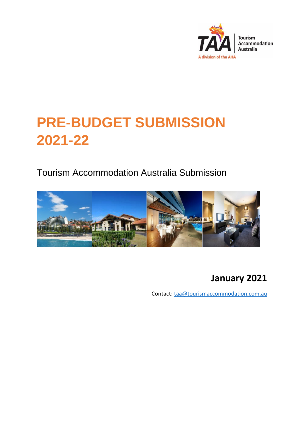

# **PRE-BUDGET SUBMISSION 2021-22**

Tourism Accommodation Australia Submission



# **January 2021**

Contact: [taa@tourismaccommodation.com.au](mailto:taa@tourismaccommodation.com.au)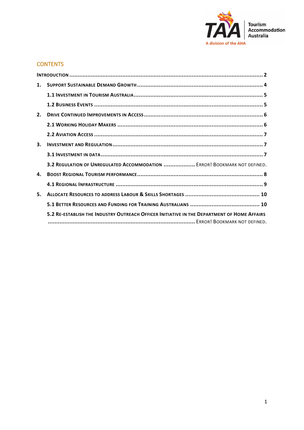

# **CONTENTS**

| $\mathbf{1}$ . |                                                                                             |  |
|----------------|---------------------------------------------------------------------------------------------|--|
|                |                                                                                             |  |
|                |                                                                                             |  |
| 2.             |                                                                                             |  |
|                |                                                                                             |  |
|                |                                                                                             |  |
| 3.             |                                                                                             |  |
|                |                                                                                             |  |
|                | 3.2 REGULATION OF UNREGULATED ACCOMMODATION  ERROR! BOOKMARK NOT DEFINED.                   |  |
| 4.             |                                                                                             |  |
|                |                                                                                             |  |
| 5.             |                                                                                             |  |
|                |                                                                                             |  |
|                | 5.2 RE-ESTABLISH THE INDUSTRY OUTREACH OFFICER INITIATIVE IN THE DEPARTMENT OF HOME AFFAIRS |  |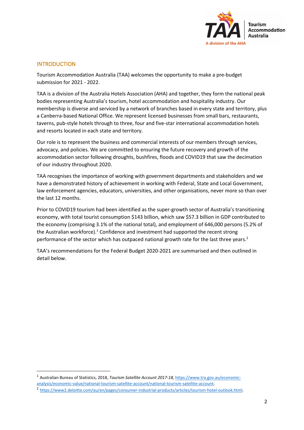

# <span id="page-2-0"></span>**INTRODUCTION**

Tourism Accommodation Australia (TAA) welcomes the opportunity to make a pre-budget submission for 2021 - 2022.

TAA is a division of the Australia Hotels Association (AHA) and together, they form the national peak bodies representing Australia's tourism, hotel accommodation and hospitality industry. Our membership is diverse and serviced by a network of branches based in every state and territory, plus a Canberra-based National Office. We represent licensed businesses from small bars, restaurants, taverns, pub-style hotels through to three, four and five-star international accommodation hotels and resorts located in each state and territory.

Our role is to represent the business and commercial interests of our members through services, advocacy, and policies. We are committed to ensuring the future recovery and growth of the accommodation sector following droughts, bushfires, floods and COVID19 that saw the decimation of our industry throughout 2020.

TAA recognises the importance of working with government departments and stakeholders and we have a demonstrated history of achievement in working with Federal, State and Local Government, law enforcement agencies, educators, universities, and other organisations, never more so than over the last 12 months.

Prior to COVID19 tourism had been identified as the super-growth sector of Australia's transitioning economy, with total tourist consumption \$143 billion, which saw \$57.3 billion in GDP contributed to the economy (comprising 3.1% of the national total), and employment of 646,000 persons (5.2% of the Australian workforce). $1$  Confidence and investment had supported the recent strong performance of the sector which has outpaced national growth rate for the last three years.<sup>2</sup>

TAA's recommendations for the Federal Budget 2020-2021 are summarised and then outlined in detail below.

<sup>&</sup>lt;sup>1</sup> Australian Bureau of Statistics, 2018, *Tourism Satellite Account 2017-18*, [https://www.tra.gov.au/economic](https://www.tra.gov.au/economic-analysis/economic-value/national-tourism-satellite-account/national-tourism-satellite-account)[analysis/economic-value/national-tourism-satellite-account/national-tourism-satellite-account.](https://www.tra.gov.au/economic-analysis/economic-value/national-tourism-satellite-account/national-tourism-satellite-account)

<sup>&</sup>lt;sup>2</sup> [https://www2.deloitte.com/au/en/pages/consumer-industrial-products/articles/tourism-hotel-outlook.html.](https://www2.deloitte.com/au/en/pages/consumer-industrial-products/articles/tourism-hotel-outlook.html)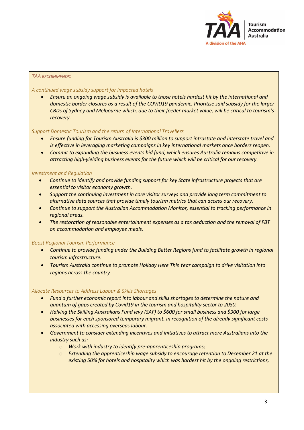

#### *TAA RECOMMENDS:*

#### *A continued wage subsidy support for impacted hotels*

• *Ensure an ongoing wage subsidy is available to those hotels hardest hit by the international and domestic border closures as a result of the COVID19 pandemic. Prioritise said subsidy for the larger CBDs of Sydney and Melbourne which, due to their feeder market value, will be critical to tourism's recovery.*

#### *Support Domestic Tourism and the return of International Travellers*

- *Ensure funding for Tourism Australia is \$300 million to support intrastate and interstate travel and is effective in leveraging marketing campaigns in key international markets once borders reopen.*
- *Commit to expanding the business events bid fund, which ensures Australia remains competitive in attracting high-yielding business events for the future which will be critical for our recovery.*

#### *Investment and Regulation*

- *Continue to identify and provide funding support for key State infrastructure projects that are essential to visitor economy growth.*
- *Support the continuing investment in core visitor surveys and provide long term commitment to alternative data sources that provide timely tourism metrics that can access our recovery.*
- *Continue to support the Australian Accommodation Monitor, essential to tracking performance in regional areas.*
- *The restoration of reasonable entertainment expenses as a tax deduction and the removal of FBT on accommodation and employee meals.*

#### *Boost Regional Tourism Performance*

- *Continue to provide funding under the Building Better Regions fund to facilitate growth in regional tourism infrastructure.*
- *Tourism Australia continue to promote Holiday Here This Year campaign to drive visitation into regions across the country*

#### *Allocate Resources to Address Labour & Skills Shortages*

- *Fund a further economic report into labour and skills shortages to determine the nature and quantum of gaps created by Covid19 in the tourism and hospitality sector to 2030.*
- *Halving the Skilling Australians Fund levy (SAF) to \$600 for small business and \$900 for large businesses for each sponsored temporary migrant, in recognition of the already significant costs associated with accessing overseas labour.*
- *Government to consider extending incentives and initiatives to attract more Australians into the industry such as:*
	- o *Work with industry to identify pre-apprenticeship programs;*
	- o *Extending the apprenticeship wage subsidy to encourage retention to December 21 at the existing 50% for hotels and hospitality which was hardest hit by the ongoing restrictions,*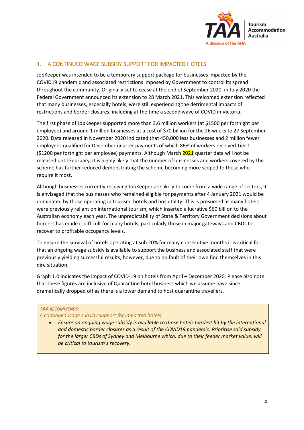

# <span id="page-4-0"></span>1. A CONTINUED WAGE SUBSIDY SUPPORT FOR IMPACTED HOTELS

JobKeeper was intended to be a temporary support package for businesses impacted by the COVID19 pandemic and associated restrictions imposed by Government to control its spread throughout the community. Originally set to cease at the end of September 2020, in July 2020 the Federal Government announced its extension to 28 March 2021. This welcomed extension reflected that many businesses, especially hotels, were still experiencing the detrimental impacts of restrictions and border closures, including at the time a second wave of COVID in Victoria.

The first phase of JobKeeper supported more than 3.6 million workers (at \$1500 per fortnight per employee) and around 1 million businesses at a cost of \$70 billion for the 26 weeks to 27 September 2020. Data released in November 2020 indicated that 450,000 less businesses and 2 million fewer employees qualified for December quarter payments of which 86% of workers received Tier 1 (\$1200 per fortnight per employee) payments. Although March 2021 quarter data will not be released until February, it is highly likely that the number of businesses and workers covered by the scheme has further reduced demonstrating the scheme becoming more scoped to those who require it most.

Although businesses currently receiving JobKeeper are likely to come from a wide range of sectors, it is envisaged that the businesses who remained eligible for payments after 4 January 2021 would be dominated by those operating in tourism, hotels and hospitality. This is presumed as many hotels were previously reliant on international tourism, which inserted a lucrative \$60 billion to the Australian economy each year. The unpredictability of State & Territory Government decisions about borders has made it difficult for many hotels, particularly those in major gateways and CBDs to recover to profitable occupancy levels.

To ensure the survival of hotels operating at sub 20% for many consecutive months it is critical for that an ongoing wage subsidy is available to support the business and associated staff that were previously yielding successful results, however, due to no fault of their own find themselves in this dire situation.

Graph 1.0 indicates the impact of COVID-19 on hotels from April – December 2020. Please also note that these figures are inclusive of Quarantine hotel business which we assume have since dramatically dropped off as there is a lower demand to host quarantine travellers.

# *TAA RECOMMENDS:*

#### *A continued wage subsidy support for impacted hotels*

• *Ensure an ongoing wage subsidy is available to those hotels hardest hit by the international and domestic border closures as a result of the COVID19 pandemic. Prioritise said subsidy for the larger CBDs of Sydney and Melbourne which, due to their feeder market value, will be critical to tourism's recovery.*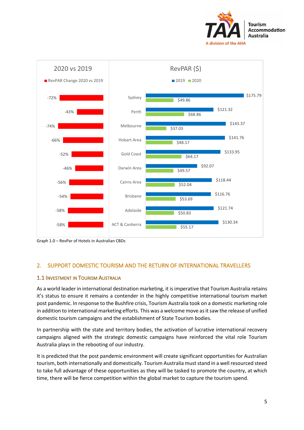



Graph 1.0 – RevPar of Hotels in Australian CBDs

# 2. SUPPORT DOMESTIC TOURISM AND THE RETURN OF INTERNATIONAL TRAVELLERS

# <span id="page-5-0"></span>1.1 INVESTMENT IN TOURISM AUSTRALIA

<span id="page-5-1"></span>As a world leader in international destination marketing, it is imperative that Tourism Australia retains it's status to ensure it remains a contender in the highly competitive international tourism market post pandemic. In response to the Bushfire crisis, Tourism Australia took on a domestic marketing role in addition to international marketing efforts. This was a welcome move as it saw the release of unified domestic tourism campaigns and the establishment of State Tourism bodies.

In partnership with the state and territory bodies, the activation of lucrative international recovery campaigns aligned with the strategic domestic campaigns have reinforced the vital role Tourism Australia plays in the rebooting of our industry.

It is predicted that the post pandemic environment will create significant opportunities for Australian tourism, both internationally and domestically. Tourism Australia must stand in a well resourced steed to take full advantage of these opportunities as they will be tasked to promote the country, at which time, there will be fierce competition within the global market to capture the tourism spend.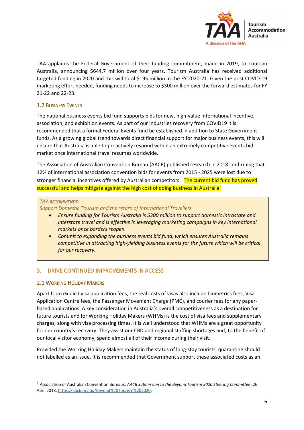

TAA applauds the Federal Government of their funding commitment, made in 2019, to Tourism Australia, announcing \$644.7 million over four years. Tourism Australia has received additional targeted funding in 2020 and this will total \$195 million in the FY 2020-21. Given the post COVID-19 marketing effort needed, funding needs to increase to \$300 million over the forward estimates for FY 21-22 and 22-23.

# 1.2 BUSINESS EVENTS

The national business events bid fund supports bids for new, high-value international incentive, association, and exhibition events. As part of our industries recovery from COVID19 it is recommended that a formal Federal Events fund be established in addition to State Government funds. As a growing global trend towards direct financial support for major business events, this will ensure that Australia is able to proactively respond within an extremely competitive events bid market once international travel resumes worldwide.

The Association of Australian Convention Bureau (AACB) published research in 2018 confirming that 12% of international association convention bids for events from 2015 - 2025 were lost due to stronger financial incentives offered by Australian competitors.<sup>3</sup> The current bid fund has proved successful and helps mitigate against the high cost of doing business in Australia.

# *TAA RECOMMENDS:*

*Support Domestic Tourism and the return of International Travellers*

- *Ensure funding for Tourism Australia is \$300 million to support domestic intrastate and interstate travel and is effective in leveraging marketing campaigns in key international markets once borders reopen.*
- *Commit to expanding the business events bid fund, which ensures Australia remains competitive in attracting high-yielding business events for the future which will be critical for our recovery.*

# <span id="page-6-0"></span>3. DRIVE CONTINUED IMPROVEMENTS IN ACCESS

# <span id="page-6-1"></span>2.1 WORKING HOLIDAY MAKERS

Apart from explicit visa application fees, the real costs of visas also include biometrics fees, Visa Application Centre fees, the Passenger Movement Charge (PMC), and courier fees for any paperbased applications. A key consideration in Australia's overall competitiveness as a destination for future tourists and for Working Holiday Makers (WHMs) is the cost of visa fees and supplementary charges, along with visa processing times. It is well understood that WHMs are a great opportunity for our country's recovery. They assist our CBD and regional staffing shortages and, to the benefit of our local visitor economy, spend almost all of their income during their visit.

Provided the Working Holiday Makers maintain the status of long-stay tourists, quarantine should not labelled as an issue. It is recommended that Government support these associated costs as an

<sup>3</sup> Association of Australian Convention Bureaux, *AACB Submission to the Beyond Tourism 2020 Steering Committee*, 26 April 2018, [https://aacb.org.au/Beyond%20Tourism%202020.](https://aacb.org.au/Beyond%20Tourism%202020)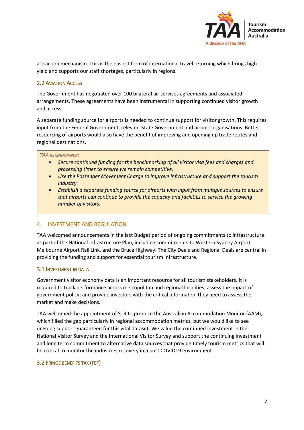

attraction mechanism. This is the easiest form of international travel returning which brings high yield and supports our staff shortages, particularly in regions.

# <span id="page-7-0"></span>2.2 AVIATION ACCESS

The Government has negotiated over 100 bilateral air services agreements and associated arrangements. These agreements have been instrumental in supporting continued visitor growth and access.

A separate funding source for airports is needed to continue support for visitor growth. This requires input from the Federal Government, relevant State Government and airport organisations. Better resourcing of airports would also have the benefit of improving and opening up trade routes and regional destinations.

#### *TAA RECOMMENDS:*

- *Secure continued funding for the benchmarking of all visitor visa fees and charges and processing times to ensure we remain competitive.*
- *Use the Passenger Movement Charge to improve infrastructure and support the tourism industry.*
- *Establish a separate funding source for airports with input from multiple sources to ensure that airports can continue to provide the capacity and facilities to service the growing number of visitors.*

# <span id="page-7-1"></span>4. INVESTMENT AND REGULATION

TAA welcomed announcements in the last Budget period of ongoing commitments to infrastructure as part of the National Infrastructure Plan, including commitments to Western Sydney Airport, Melbourne Airport Rail Link, and the Bruce Highway. The City Deals and Regional Deals are central in providing the funding and support for essential tourism infrastructure.

# <span id="page-7-2"></span>3.1 INVESTMENT IN DATA

Government visitor economy data is an important resource for all tourism stakeholders. It is required to track performance across metropolitan and regional localities; assess the impact of government policy; and provide investors with the critical information they need to assess the market and make decisions.

TAA welcomed the appointment of STR to produce the Australian Accommodation Monitor (AAM), which filled the gap particularly in regional accommodation metrics, but we would like to see ongoing support guaranteed for this vital dataset. We value the continued investment in the National Visitor Survey and the International Visitor Survey and support the continuing investment and long term commitment to alternative data sources that provide timely tourism metrics that will be critical to monitor the industries recovery in a post COVID19 environment.

# 3.2 FRINGE BENEFITS TAX (FBT)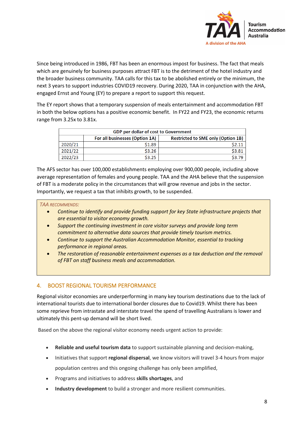

Since being introduced in 1986, FBT has been an enormous impost for business. The fact that meals which are genuinely for business purposes attract FBT is to the detriment of the hotel industry and the broader business community. TAA calls for this tax to be abolished entirely or the minimum, the next 3 years to support industries COVID19 recovery. During 2020, TAA in conjunction with the AHA, engaged Ernst and Young (EY) to prepare a report to support this request.

The EY report shows that a temporary suspension of meals entertainment and accommodation FBT in both the below options has a positive economic benefit. In FY22 and FY23, the economic returns range from 3.25x to 3.81x.

| <b>GDP per dollar of cost to Government</b> |                                |                                           |  |  |
|---------------------------------------------|--------------------------------|-------------------------------------------|--|--|
|                                             | For all businesses (Option 1A) | <b>Restricted to SME only (Option 1B)</b> |  |  |
| 2020/21                                     | \$1.89                         | S <sub>2.11</sub>                         |  |  |
| 2021/22                                     | \$3.26                         | \$3.81                                    |  |  |
| 2022/23                                     | \$3.25                         | \$3.79                                    |  |  |

The AFS sector has over 100,000 establishments employing over 900,000 people, including above average representation of females and young people. TAA and the AHA believe that the suspension of FBT is a moderate policy in the circumstances that will grow revenue and jobs in the sector. Importantly, we request a tax that inhibits growth, to be suspended.

#### *TAA RECOMMENDS:*

- *Continue to identify and provide funding support for key State infrastructure projects that are essential to visitor economy growth.*
- *Support the continuing investment in core visitor surveys and provide long term commitment to alternative data sources that provide timely tourism metrics.*
- *Continue to support the Australian Accommodation Monitor, essential to tracking performance in regional areas.*
- *The restoration of reasonable entertainment expenses as a tax deduction and the removal of FBT on staff business meals and accommodation.*

# <span id="page-8-0"></span>4. BOOST REGIONAL TOURISM PERFORMANCE

Regional visitor economies are underperforming in many key tourism destinations due to the lack of international tourists due to international border closures due to Covid19. Whilst there has been some reprieve from intrastate and interstate travel the spend of travelling Australians is lower and ultimately this pent-up demand will be short lived.

Based on the above the regional visitor economy needs urgent action to provide:

- **Reliable and useful tourism data** to support sustainable planning and decision-making,
- Initiatives that support **regional dispersal**, we know visitors will travel 3-4 hours from major population centres and this ongoing challenge has only been amplified,
- Programs and initiatives to address **skills shortages**, and
- **Industry development** to build a stronger and more resilient communities.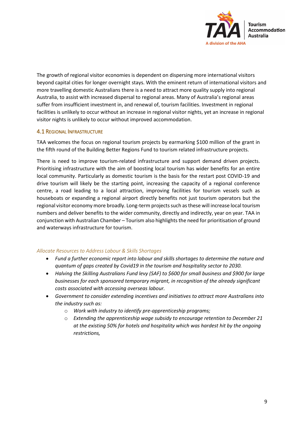

The growth of regional visitor economies is dependent on dispersing more international visitors beyond capital cities for longer overnight stays. With the eminent return of international visitors and more travelling domestic Australians there is a need to attract more quality supply into regional Australia, to assist with increased dispersal to regional areas. Many of Australia's regional areas suffer from insufficient investment in, and renewal of, tourism facilities. Investment in regional facilities is unlikely to occur without an increase in regional visitor nights, yet an increase in regional visitor nights is unlikely to occur without improved accommodation.

# <span id="page-9-0"></span>4.1 REGIONAL INFRASTRUCTURE

TAA welcomes the focus on regional tourism projects by earmarking \$100 million of the grant in the fifth round of the Building Better Regions Fund to tourism related infrastructure projects.

There is need to improve tourism-related infrastructure and support demand driven projects. Prioritising infrastructure with the aim of boosting local tourism has wider benefits for an entire local community. Particularly as domestic tourism is the basis for the restart post COVID-19 and drive tourism will likely be the starting point, increasing the capacity of a regional conference centre, a road leading to a local attraction, improving facilities for tourism vessels such as houseboats or expanding a regional airport directly benefits not just tourism operators but the regional visitor economy more broadly. Long-term projects such as these will increase local tourism numbers and deliver benefits to the wider community, directly and indirectly, year on year. TAA in conjunction with Australian Chamber – Tourism also highlights the need for prioritisation of ground and waterways infrastructure for tourism.

#### *Allocate Resources to Address Labour & Skills Shortages*

- *Fund a further economic report into labour and skills shortages to determine the nature and quantum of gaps created by Covid19 in the tourism and hospitality sector to 2030.*
- *Halving the Skilling Australians Fund levy (SAF) to \$600 for small business and \$900 for large businesses for each sponsored temporary migrant, in recognition of the already significant costs associated with accessing overseas labour.*
- *Government to consider extending incentives and initiatives to attract more Australians into the industry such as:*
	- o *Work with industry to identify pre-apprenticeship programs;*
	- o *Extending the apprenticeship wage subsidy to encourage retention to December 21 at the existing 50% for hotels and hospitality which was hardest hit by the ongoing restrictions,*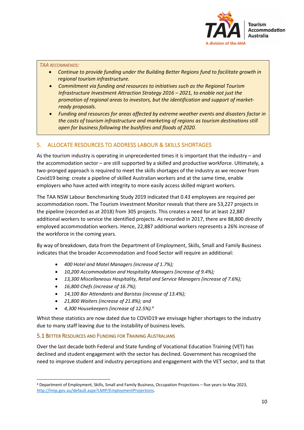

#### *TAA RECOMMENDS:*

- *Continue to provide funding under the Building Better Regions fund to facilitate growth in regional tourism infrastructure.*
- *Commitment via funding and resources to initiatives such as the Regional Tourism Infrastructure Investment Attraction Strategy 2016 – 2021, to enable not just the promotion of regional areas to investors, but the identification and support of marketready proposals.*
- *Funding and resources for areas affected by extreme weather events and disasters factor in the costs of tourism infrastructure and marketing of regions as tourism destinations still open for business following the bushfires and floods of 2020.*

# <span id="page-10-0"></span>5. ALLOCATE RESOURCES TO ADDRESS LABOUR & SKILLS SHORTAGES

As the tourism industry is operating in unprecedented times it is important that the industry – and the accommodation sector – are still supported by a skilled and productive workforce. Ultimately, a two-pronged approach is required to meet the skills shortages of the industry as we recover from Covid19 being: create a pipeline of skilled Australian workers and at the same time, enable employers who have acted with integrity to more easily access skilled migrant workers.

The TAA NSW Labour Benchmarking Study 2019 indicated that 0.43 employees are required per accommodation room. The Tourism Investment Monitor reveals that there are 53,227 projects in the pipeline (recorded as at 2018) from 305 projects. This creates a need for at least 22,887 additional workers to service the identified projects. As recorded in 2017, there are 88,800 directly employed accommodation workers. Hence, 22,887 additional workers represents a 26% increase of the workforce in the coming years.

By way of breakdown, data from the Department of Employment, Skills, Small and Family Business indicates that the broader Accommodation and Food Sector will require an additional:

- *400 Hotel and Motel Managers (increase of 1.7%);*
- *10,200 Accommodation and Hospitality Managers (increase of 9.4%);*
- *13,300 Miscellaneous Hospitality, Retail and Service Managers (increase of 7.6%);*
- *16,800 Chefs (increase of 16.7%);*
- *14,100 Bar Attendants and Baristas (increase of 13.4%);*
- *21,800 Waiters (increase of 21.8%); and*
- *4,300 Housekeepers (increase of 12.5%).<sup>4</sup>*

Whist these statistics are now dated due to COVID19 we envisage higher shortages to the industry due to many staff leaving due to the instability of business levels.

# <span id="page-10-1"></span>5.1 BETTER RESOURCES AND FUNDING FOR TRAINING AUSTRALIANS

Over the last decade both Federal and State funding of Vocational Education Training (VET) has declined and student engagement with the sector has declined. Government has recognised the need to improve student and industry perceptions and engagement with the VET sector, and to that

<sup>4</sup> Department of Employment, Skills, Small and Family Business, Occupation Projections – five years to May 2023, [http://lmip.gov.au/default.aspx?LMIP/EmploymentProjections.](http://lmip.gov.au/default.aspx?LMIP/EmploymentProjections)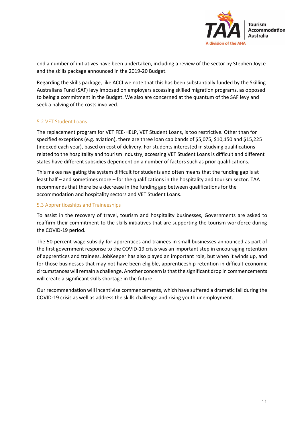

end a number of initiatives have been undertaken, including a review of the sector by Stephen Joyce and the skills package announced in the 2019-20 Budget.

Regarding the skills package, like ACCI we note that this has been substantially funded by the Skilling Australians Fund (SAF) levy imposed on employers accessing skilled migration programs, as opposed to being a commitment in the Budget. We also are concerned at the quantum of the SAF levy and seek a halving of the costs involved.

#### 5.2 VET Student Loans

The replacement program for VET FEE-HELP, VET Student Loans, is too restrictive. Other than for specified exceptions (e.g. aviation), there are three loan cap bands of \$5,075, \$10,150 and \$15,225 (indexed each year), based on cost of delivery. For students interested in studying qualifications related to the hospitality and tourism industry, accessing VET Student Loans is difficult and different states have different subsidies dependent on a number of factors such as prior qualifications.

This makes navigating the system difficult for students and often means that the funding gap is at least half – and sometimes more – for the qualifications in the hospitality and tourism sector. TAA recommends that there be a decrease in the funding gap between qualifications for the accommodation and hospitality sectors and VET Student Loans.

#### 5.3 Apprenticeships and Traineeships

To assist in the recovery of travel, tourism and hospitality businesses, Governments are asked to reaffirm their commitment to the skills initiatives that are supporting the tourism workforce during the COVID-19 period.

The 50 percent wage subsidy for apprentices and trainees in small businesses announced as part of the first government response to the COVID-19 crisis was an important step in encouraging retention of apprentices and trainees. JobKeeper has also played an important role, but when it winds up, and for those businesses that may not have been eligible, apprenticeship retention in difficult economic circumstances will remain a challenge. Another concern is that the significant drop in commencements will create a significant skills shortage in the future.

Our recommendation will incentivise commencements, which have suffered a dramatic fall during the COVID-19 crisis as well as address the skills challenge and rising youth unemployment.